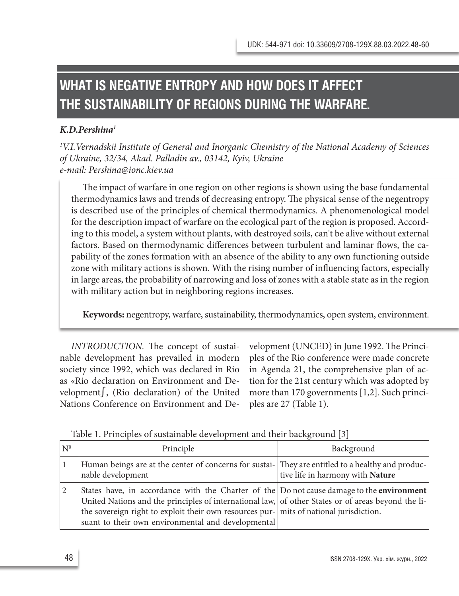# **WHAT IS NEGATIVE ENTROPY AND HOW DOES IT AFFECT THE SUSTAINABILITY OF REGIONS DURING THE WARFARE.**

## *K.D.Pershina1*

*1 V.I.Vernadskii Institute of General and Inorganic Chemistry of the National Academy of Sciences of Ukraine, 32/34, Akad. Palladin av., 03142, Kyiv, Ukraine e-mail: Pershina@ionc.kiev.ua*

The impact of warfare in one region on other regions is shown using the base fundamental thermodynamics laws and trends of decreasing entropy. The physical sense of the negentropy is described use of the principles of chemical thermodynamics. A phenomenological model for the description impact of warfare on the ecological part of the region is proposed. According to this model, a system without plants, with destroyed soils, can't be alive without external factors. Based on thermodynamic differences between turbulent and laminar flows, the capability of the zones formation with an absence of the ability to any own functioning outside zone with military actions is shown. With the rising number of influencing factors, especially in large areas, the probability of narrowing and loss of zones with a stable state as in the region with military action but in neighboring regions increases.

**Keywords:** negentropy, warfare, sustainability, thermodynamics, open system, environment.

*INTRODUCTION.* The concept of sustainable development has prevailed in modern society since 1992, which was declared in Rio as «Rio declaration on Environment and Development∫, (Rio declaration) of the United Nations Conference on Environment and Development (UNCED) in June 1992. The Principles of the Rio conference were made concrete in Agenda 21, the comprehensive plan of action for the 21st century which was adopted by more than 170 governments [1,2]. Such principles are 27 (Table 1).

| N <sup>0</sup> | Principle                                                                                                                                                                                                                                                                                                                                                  | Background                       |
|----------------|------------------------------------------------------------------------------------------------------------------------------------------------------------------------------------------------------------------------------------------------------------------------------------------------------------------------------------------------------------|----------------------------------|
|                | Human beings are at the center of concerns for sustai- They are entitled to a healthy and produc-<br>nable development                                                                                                                                                                                                                                     | tive life in harmony with Nature |
|                | States have, in accordance with the Charter of the $ $ Do not cause damage to the <b>environment</b><br>United Nations and the principles of international law, of other States or of areas beyond the li-<br>the sovereign right to exploit their own resources pur- mits of national jurisdiction.<br>suant to their own environmental and developmental |                                  |

Table 1. Principles of sustainable development and their background [3]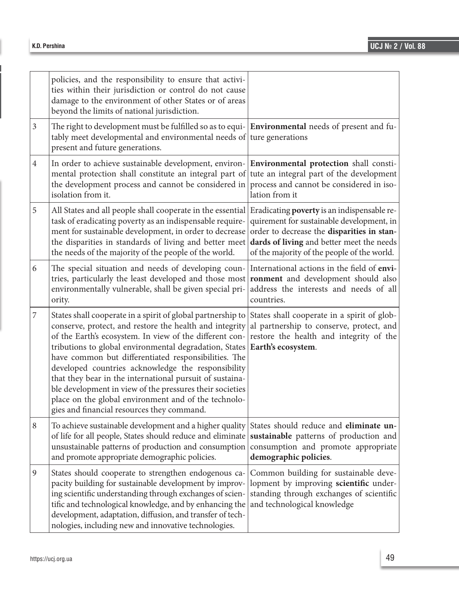|                | policies, and the responsibility to ensure that activi-<br>ties within their jurisdiction or control do not cause<br>damage to the environment of other States or of areas<br>beyond the limits of national jurisdiction.                                                                                                                                                                                                                                                                                                                                                               |                                                                                                                                                                                                                                    |
|----------------|-----------------------------------------------------------------------------------------------------------------------------------------------------------------------------------------------------------------------------------------------------------------------------------------------------------------------------------------------------------------------------------------------------------------------------------------------------------------------------------------------------------------------------------------------------------------------------------------|------------------------------------------------------------------------------------------------------------------------------------------------------------------------------------------------------------------------------------|
| 3              | The right to development must be fulfilled so as to equi- $ $ <b>Environmental</b> needs of present and fu-<br>tably meet developmental and environmental needs of ture generations<br>present and future generations.                                                                                                                                                                                                                                                                                                                                                                  |                                                                                                                                                                                                                                    |
| $\overline{4}$ | In order to achieve sustainable development, environ-<br>mental protection shall constitute an integral part of<br>the development process and cannot be considered in<br>isolation from it.                                                                                                                                                                                                                                                                                                                                                                                            | Environmental protection shall consti-<br>tute an integral part of the development<br>process and cannot be considered in iso-<br>lation from it                                                                                   |
| 5              | All States and all people shall cooperate in the essential<br>task of eradicating poverty as an indispensable require-<br>ment for sustainable development, in order to decrease<br>the disparities in standards of living and better meet<br>the needs of the majority of the people of the world.                                                                                                                                                                                                                                                                                     | Eradicating poverty is an indispensable re-<br>quirement for sustainable development, in<br>order to decrease the disparities in stan-<br>dards of living and better meet the needs<br>of the majority of the people of the world. |
| 6              | The special situation and needs of developing coun-<br>tries, particularly the least developed and those most<br>environmentally vulnerable, shall be given special pri-<br>ority.                                                                                                                                                                                                                                                                                                                                                                                                      | International actions in the field of envi-<br>ronment and development should also<br>address the interests and needs of all<br>countries.                                                                                         |
| 7              | States shall cooperate in a spirit of global partnership to<br>conserve, protect, and restore the health and integrity<br>of the Earth's ecosystem. In view of the different con-<br>tributions to global environmental degradation, States<br>have common but differentiated responsibilities. The<br>developed countries acknowledge the responsibility<br>that they bear in the international pursuit of sustaina-<br>ble development in view of the pressures their societies<br>place on the global environment and of the technolo-<br>gies and financial resources they command. | States shall cooperate in a spirit of glob-<br>al partnership to conserve, protect, and<br>restore the health and integrity of the<br>Earth's ecosystem.                                                                           |
| 8              | To achieve sustainable development and a higher quality States should reduce and eliminate un-<br>of life for all people, States should reduce and eliminate<br>unsustainable patterns of production and consumption<br>and promote appropriate demographic policies.                                                                                                                                                                                                                                                                                                                   | sustainable patterns of production and<br>consumption and promote appropriate<br>demographic policies.                                                                                                                             |
| 9              | States should cooperate to strengthen endogenous ca-<br>pacity building for sustainable development by improv-<br>ing scientific understanding through exchanges of scien-<br>tific and technological knowledge, and by enhancing the<br>development, adaptation, diffusion, and transfer of tech-<br>nologies, including new and innovative technologies.                                                                                                                                                                                                                              | Common building for sustainable deve-<br>lopment by improving scientific under-<br>standing through exchanges of scientific<br>and technological knowledge                                                                         |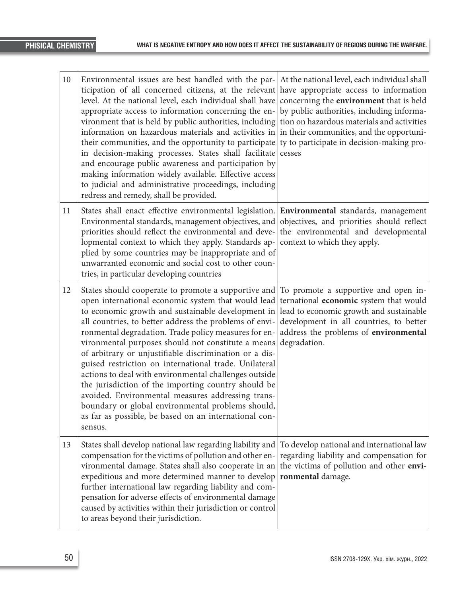| 10 | Environmental issues are best handled with the par-<br>ticipation of all concerned citizens, at the relevant<br>level. At the national level, each individual shall have<br>appropriate access to information concerning the en-<br>vironment that is held by public authorities, including<br>information on hazardous materials and activities in<br>their communities, and the opportunity to participate<br>in decision-making processes. States shall facilitate<br>and encourage public awareness and participation by<br>making information widely available. Effective access<br>to judicial and administrative proceedings, including<br>redress and remedy, shall be provided.                                                                | At the national level, each individual shall<br>have appropriate access to information<br>concerning the environment that is held<br>by public authorities, including informa-<br>tion on hazardous materials and activities<br>in their communities, and the opportuni-<br>ty to participate in decision-making pro-<br>cesses |
|----|---------------------------------------------------------------------------------------------------------------------------------------------------------------------------------------------------------------------------------------------------------------------------------------------------------------------------------------------------------------------------------------------------------------------------------------------------------------------------------------------------------------------------------------------------------------------------------------------------------------------------------------------------------------------------------------------------------------------------------------------------------|---------------------------------------------------------------------------------------------------------------------------------------------------------------------------------------------------------------------------------------------------------------------------------------------------------------------------------|
| 11 | States shall enact effective environmental legislation.<br>Environmental standards, management objectives, and<br>priorities should reflect the environmental and deve-<br>lopmental context to which they apply. Standards ap-<br>plied by some countries may be inappropriate and of<br>unwarranted economic and social cost to other coun-<br>tries, in particular developing countries                                                                                                                                                                                                                                                                                                                                                              | Environmental standards, management<br>objectives, and priorities should reflect<br>the environmental and developmental<br>context to which they apply.                                                                                                                                                                         |
| 12 | States should cooperate to promote a supportive and<br>open international economic system that would lead<br>to economic growth and sustainable development in<br>all countries, to better address the problems of envi-<br>ronmental degradation. Trade policy measures for en-<br>vironmental purposes should not constitute a means<br>of arbitrary or unjustifiable discrimination or a dis-<br>guised restriction on international trade. Unilateral<br>actions to deal with environmental challenges outside<br>the jurisdiction of the importing country should be<br>avoided. Environmental measures addressing trans-<br>boundary or global environmental problems should,<br>as far as possible, be based on an international con-<br>sensus. | To promote a supportive and open in-<br>ternational economic system that would<br>lead to economic growth and sustainable<br>development in all countries, to better<br>address the problems of environmental<br>degradation.                                                                                                   |
| 13 | States shall develop national law regarding liability and<br>compensation for the victims of pollution and other en-<br>vironmental damage. States shall also cooperate in an<br>expeditious and more determined manner to develop<br>further international law regarding liability and com-<br>pensation for adverse effects of environmental damage<br>caused by activities within their jurisdiction or control<br>to areas beyond their jurisdiction.                                                                                                                                                                                                                                                                                               | To develop national and international law<br>regarding liability and compensation for<br>the victims of pollution and other envi-<br>ronmental damage.                                                                                                                                                                          |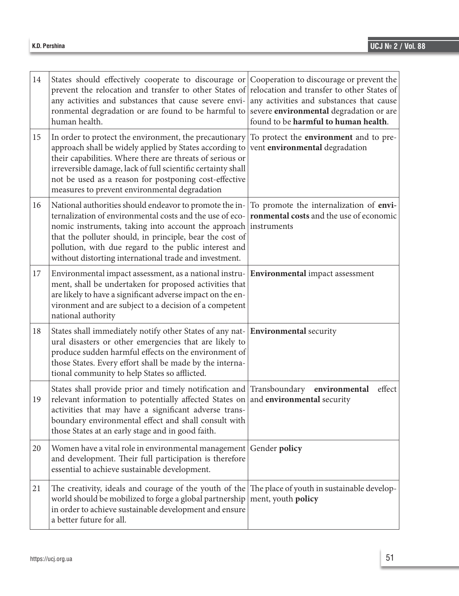| 14 | States should effectively cooperate to discourage or Cooperation to discourage or prevent the<br>prevent the relocation and transfer to other States of<br>any activities and substances that cause severe envi-<br>ronmental degradation or are found to be harmful to<br>human health.                                                                  | relocation and transfer to other States of<br>any activities and substances that cause<br>severe environmental degradation or are<br>found to be harmful to human health. |
|----|-----------------------------------------------------------------------------------------------------------------------------------------------------------------------------------------------------------------------------------------------------------------------------------------------------------------------------------------------------------|---------------------------------------------------------------------------------------------------------------------------------------------------------------------------|
| 15 | In order to protect the environment, the precautionary<br>approach shall be widely applied by States according to<br>their capabilities. Where there are threats of serious or<br>irreversible damage, lack of full scientific certainty shall<br>not be used as a reason for postponing cost-effective<br>measures to prevent environmental degradation  | To protect the <b>environment</b> and to pre-<br>vent environmental degradation                                                                                           |
| 16 | National authorities should endeavor to promote the in-<br>ternalization of environmental costs and the use of eco-<br>nomic instruments, taking into account the approach<br>that the polluter should, in principle, bear the cost of<br>pollution, with due regard to the public interest and<br>without distorting international trade and investment. | To promote the internalization of envi-<br>ronmental costs and the use of economic<br>instruments                                                                         |
| 17 | Environmental impact assessment, as a national instru-<br>ment, shall be undertaken for proposed activities that<br>are likely to have a significant adverse impact on the en-<br>vironment and are subject to a decision of a competent<br>national authority                                                                                            | Environmental impact assessment                                                                                                                                           |
| 18 | States shall immediately notify other States of any nat- Environmental security<br>ural disasters or other emergencies that are likely to<br>produce sudden harmful effects on the environment of<br>those States. Every effort shall be made by the interna-<br>tional community to help States so afflicted.                                            |                                                                                                                                                                           |
| 19 | States shall provide prior and timely notification and Transboundary environmental<br>relevant information to potentially affected States on<br>activities that may have a significant adverse trans-<br>boundary environmental effect and shall consult with<br>those States at an early stage and in good faith.                                        | effect<br>and environmental security                                                                                                                                      |
| 20 | Women have a vital role in environmental management Gender policy<br>and development. Their full participation is therefore<br>essential to achieve sustainable development.                                                                                                                                                                              |                                                                                                                                                                           |
| 21 | The creativity, ideals and courage of the youth of the<br>world should be mobilized to forge a global partnership<br>in order to achieve sustainable development and ensure<br>a better future for all.                                                                                                                                                   | The place of youth in sustainable develop-<br>ment, youth policy                                                                                                          |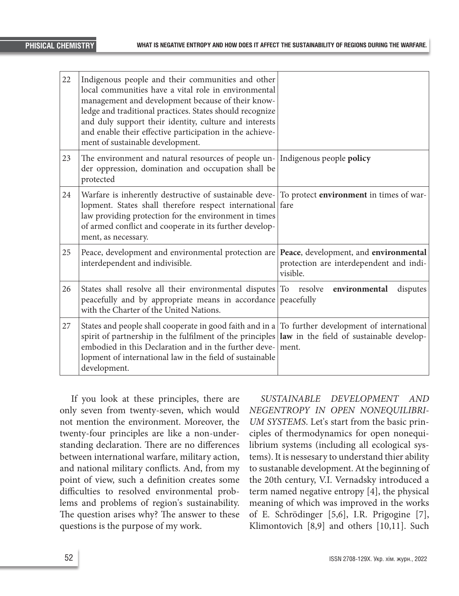| 22 | Indigenous people and their communities and other<br>local communities have a vital role in environmental<br>management and development because of their know-<br>ledge and traditional practices. States should recognize<br>and duly support their identity, culture and interests<br>and enable their effective participation in the achieve-<br>ment of sustainable development. |                                                                                              |
|----|--------------------------------------------------------------------------------------------------------------------------------------------------------------------------------------------------------------------------------------------------------------------------------------------------------------------------------------------------------------------------------------|----------------------------------------------------------------------------------------------|
| 23 | The environment and natural resources of people un- Indigenous people policy<br>der oppression, domination and occupation shall be<br>protected                                                                                                                                                                                                                                      |                                                                                              |
| 24 | Warfare is inherently destructive of sustainable deve- $\vert$ To protect <b>environment</b> in times of war-<br>lopment. States shall therefore respect international fare<br>law providing protection for the environment in times<br>of armed conflict and cooperate in its further develop-<br>ment, as necessary.                                                               |                                                                                              |
| 25 | Peace, development and environmental protection are<br>interdependent and indivisible.                                                                                                                                                                                                                                                                                               | Peace, development, and environmental<br>protection are interdependent and indi-<br>visible. |
| 26 | States shall resolve all their environmental disputes To resolve<br>peacefully and by appropriate means in accordance<br>with the Charter of the United Nations.                                                                                                                                                                                                                     | environmental<br>disputes<br>peacefully                                                      |
| 27 | States and people shall cooperate in good faith and in a $\sqrt{ }$ To further development of international<br>spirit of partnership in the fulfilment of the principles law in the field of sustainable develop-<br>embodied in this Declaration and in the further deve-<br>lopment of international law in the field of sustainable<br>development.                               | ment.                                                                                        |

If you look at these principles, there are only seven from twenty-seven, which would not mention the environment. Moreover, the twenty-four principles are like a non-understanding declaration. There are no differences between international warfare, military action, and national military conflicts. And, from my point of view, such a definition creates some difficulties to resolved environmental problems and problems of region's sustainability. The question arises why? The answer to these questions is the purpose of my work.

*SUSTAINABLE DEVELOPMENT AND NEGENTROPY IN OPEN NONEQUILIBRI-UM SYSTEMS*. Let's start from the basic principles of thermodynamics for open nonequilibrium systems (including all ecological systems). It is nessesary to understand thier ability to sustanable development. At the beginning of the 20th century, V.I. Vernadsky introduced a term named negative entropy [4], the physical meaning of which was improved in the works of E. Schrödinger [5,6], I.R. Prigogine [7], Klimontovich [8,9] and others [10,11]. Such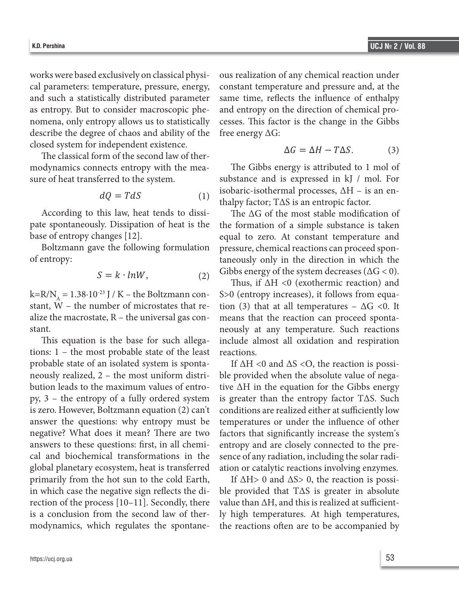the maximum values of entropy, 3 – the entropy of a fully ordered system is zero. However,

works were based exclusively on classical physical parameters: temperature, pressure, energy, and such a statistically distributed parameter as entropy. But to consider macroscopic phenomena, only entropy allows us to statistically describe the degree of chaos and ability of the free energy  $\Delta G$ : closed system for independent existence. independent existence. sustanting development. At the beginning of the beginning of the 20th century, V.I. Vernadisky introduced at the 20th century, V.I. Vernadisky introduced at the 20th century, V.I. Vernadisky introduced at the 20th century independent existence.

The classical form of the second law of thermodynamics entropy with the second law of the second law of the second  $\frac{1}{2}$ modynamics connects entropy with the mea-<br>The Gil sure of heat transferred to the system. Substance

$$
dQ = TdS \tag{1}
$$

pate spontaneously. Dissipation of heat is the According to this law, heat tends to dissibase of entropy changes [12].

Boltzmann gave the following formulation of entropy:

$$
S = k \cdot lnW, \qquad (2) \qquad \text{GIDDS energy of the system decr}
$$

the macrostate,  $R$  – the universal gas con-<br>alize the macrostate,  $R$  – the universal gas con-<br>means that the stant,  $W$  – the number of microstates that re-  $\;$  tion (3) that a  $k=R/N_A = 1.38 \cdot 10^{-23}$  J / K – the Boltzmann constant.

the maximum values of the least reactions. cosystem, heat is transferred ation or catalytic reaction tions:  $1 -$  the most probable state of the least reactions. global planetary ecosystem, heat is transferred ation or catalytic reaction This equation is the base for such allegaprobable state of an isolated system is spontaneously realized, 2 – the most uniform distribution leads to the maximum values of entropy, 3 – the entropy of a fully ordered system is zero. However, Boltzmann equation (2) can't answer the questions: why entropy must be negative? What does it mean? There are two answers to these questions: first, in all chemical and biochemical transformations in the primarily from the hot sun to the cold Earth, in which case the negative sign reflects the direction of the process [10–11]. Secondly, there is a conclusion from the second law of thermodynamics, which regulates the spontane-

exclusively on classical physi- ous realization of any chemical reaction under mperature, pressure, energy, constant temperature and pressure and, at the ically distributed parameter – same time, reflects the influence of enthalpy  $\alpha$  consider macroscopic phe- and entropy on the direction of chemical proropy allows us to statistically cesses. This factor is the change in the Gibbs exclusively on classical physi- ous realization of any chemical reaction under  $\mathcal{L}$ . Schrödinger [5,6], I.R. Prince  $\mathcal{L}$ , T.R. Prince and others indicate and others are  $\mathcal{L}$  and  $\mathcal{L}$ . beauty distributed parameters same time, reflects the imagine of changing ropy allows us to statistically cesses. This factor is the change in the Gibbs  $\text{e}^{\text{e}}$  allows us to statistically describe the decomposition for the system for system for  $\text{e}^{\text{e}}$ same time, reflects the influence of enthalpy and entropy on the direction of chemical profree energy ΔG:

$$
\Delta G = \Delta H - T\Delta S. \tag{3}
$$

tropy with the mea-<br>The Gibbs energy is attributed to 1 mol of  $dQ = T dS$  (1) isocially isomerinal processes,  $\Xi$  in a simulation of the formation of the formation of the formation of the formation of the formation of the formation of the formation of the formation of the formation of  $dO = T dS$  isobaric-isothermal processes,  $\Delta H$  – is an ensubstance and is expressed in kJ / mol. For

heat tends to dissi- The  $\Delta G$  of the most stable modification of bllowing formulation pressure, chemical reactions can proceed spon- $\alpha$ , heat tends to dissi-<br>The  $\Delta G$  of the most stable modification of  $[12]$ . equal to zero. At constant temperature and the formation of a simple substance is taken  $T_{\text{total}}$  (emperador and  $\frac{1}{2}$  $\alpha$  that discretion in which the  $\alpha$  $\alpha$  Gibbs energy of the system decreases ( $\Delta G < 0$ ). taneously only in the direction in which the

 $= R \cdot inv$ , (2) Choose strong of the system assessed (2 covers).<br>Thus, if  $\Delta H \le 0$  (exothermic reaction) and  $k = R - \ln 3$  boltzmann constant of  $\frac{3}{8}$  (chilopy increases), it follows from equa-The base for such a large for such allegations: 1 – the most probable state of the most probable state of the least probable state  $\eta$ is the base for such allega- include almost all oxidation and respiration <sup>-23</sup> J / K – the Boltzmann con-<br>S>0 (entropy increases), it follows from equa-The distribution is the most probable state of the probable state probable state most probable states in the least probable state in the least probable state in the least probable state in the state of the least probable s is the base for such allega- include almost all oxidation and respiration tion (3) that at all temperatures –  $\Delta G$  <0. It means that the reaction can proceed spontareactions.

 $\text{m}$  isolated system is sponta-<br> $\text{m}$  if  $\Delta H \leq 0$  and  $\Delta S \leq 0$ , the reaction is possi- $\mathcal{L}$  – the most unnorm distri- bio provided when the absolute value of nega- $\epsilon$  maximum values of entro-<br> $\epsilon$  is the  $\Delta$  planetary equation for the SHO sunsetred primarily from the  $\epsilon$  $t_{\text{tot}}$  of a runy ordered system as greater than the entropy factor  $t_{\text{tot}}$ , such  $t_{\text{tot}}$ .  $\frac{1}{2}$  behavior (2) can't conditions are realized either at same left y low looks it mean? There are two factors that significantly increase the system's reflects the influence of the change interest.<br>
processes the direction of the direction of chemical direction of chemical directions: first, in all chemi-<br>
entropy and are closely connected to the preprocesses. The change in the change in the Gibbs free energy Connected to the pre-<br>ical transformations in the sence of any radiation, including the solar radian isolated system is sponta-<br>If  $\Delta H < 0$  and  $\Delta S < 0$ , the reaction is possi-2 - the most uniform distri- ble provided when the absolute value of negathe maximum values of entro- tive ΔH in the equation for the Gibbs energy py of a fully ordered system is greater than the entropy factor TΔS. Such Boltzmann equation (2) can't conditions are realized either at sufficiently low ation or catalytic reactions involving enzymes.

negative sign reflects the di- ble provided that T $\Delta S$  is greater in absolute cess [10-11]. Secondly, there value than  $\Delta H$ , and this is realized at sufficient- $T_{\text{tot}}$  second law of the  $T_{\text{tot}}$  mgn temperatures. At mgn temperatures, en regular the spontane the reactions often are to be accompanied by ne hot sun to the cold Earth, If  $\Delta H > 0$  and  $\Delta S > 0$ , the reaction is possihe second law of ther- ly high temperatures. At high temperatures, ich regulates the spontane- the reactions often are to be accompanied by

equation (3) that at all temperatures –  $\alpha$  is means that the reaction can proceed the reaction can proceed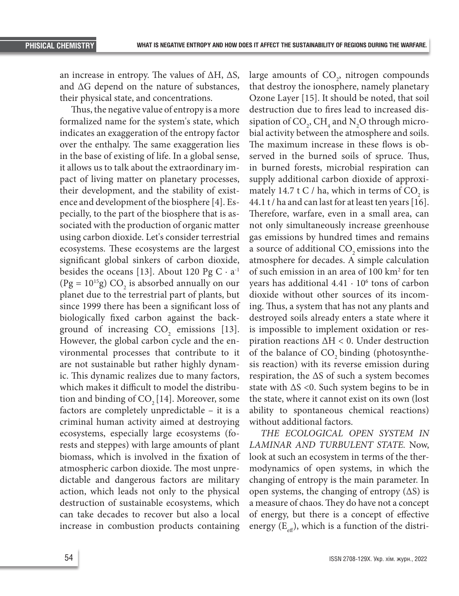an increase in entropy. The values of  $ΔH$ ,  $ΔS$ , and ΔG depend on the nature of substances, their physical state, and concentrations.

Thus, the negative value of entropy is a more formalized name for the system's state, which indicates an exaggeration of the entropy factor over the enthalpy. The same exaggeration lies in the base of existing of life. In a global sense, it allows us to talk about the extraordinary impact of living matter on planetary processes, their development, and the stability of existence and development of the biosphere [4]. Especially, to the part of the biosphere that is associated with the production of organic matter using carbon dioxide. Let's consider terrestrial ecosystems. These ecosystems are the largest significant global sinkers of carbon dioxide, besides the oceans [13]. About 120 Pg  $C \cdot a^{-1}$  $(Pg = 10^{15}g) CO<sub>2</sub>$  is absorbed annually on our planet due to the terrestrial part of plants, but since 1999 there has been a significant loss of biologically fixed carbon against the background of increasing  $CO<sub>2</sub>$  emissions [13]. However, the global carbon cycle and the environmental processes that contribute to it are not sustainable but rather highly dynamic. This dynamic realizes due to many factors, which makes it difficult to model the distribution and binding of  $CO<sub>2</sub>[14]$ . Moreover, some factors are completely unpredictable – it is a criminal human activity aimed at destroying ecosystems, especially large ecosystems (forests and steppes) with large amounts of plant biomass, which is involved in the fixation of atmospheric carbon dioxide. The most unpredictable and dangerous factors are military action, which leads not only to the physical destruction of sustainable ecosystems, which can take decades to recover but also a local increase in combustion products containing

large amounts of  $CO<sub>2</sub>$ , nitrogen compounds that destroy the ionosphere, namely planetary Ozone Layer [15]. It should be noted, that soil destruction due to fires lead to increased dissipation of  $CO_2$ ,  $CH_4$  and  $N_2O$  through microbial activity between the atmosphere and soils. The maximum increase in these flows is observed in the burned soils of spruce. Thus, in burned forests, microbial respiration can supply additional carbon dioxide of approximately 14.7 t C / ha, which in terms of  $CO_2$  is 44.1 t / ha and can last for at least ten years [16]. Therefore, warfare, even in a small area, can not only simultaneously increase greenhouse gas emissions by hundred times and remains a source of additional CO<sub>2</sub> emissions into the atmosphere for decades. A simple calculation of such emission in an area of 100 km2 for ten years has additional  $4.41 \cdot 10^6$  tons of carbon dioxide without other sources of its incoming. Thus, a system that has not any plants and destroyed soils already enters a state where it is impossible to implement oxidation or respiration reactions ΔH < 0. Under destruction of the balance of  $CO<sub>2</sub>$  binding (photosynthesis reaction) with its reverse emission during respiration, the ΔS of such a system becomes state with  $\Delta S$  <0. Such system begins to be in the state, where it cannot exist on its own (lost ability to spontaneous chemical reactions) without additional factors.

*THE ECOLOGICAL OPEN SYSTEM IN LAMINAR AND TURBULENT STATE.* Now, look at such an ecosystem in terms of the thermodynamics of open systems, in which the changing of entropy is the main parameter. In open systems, the changing of entropy  $( \Delta S )$  is a measure of chaos. They do have not a concept of energy, but there is a concept of effective energy  $(E_{\text{eff}})$ , which is a function of the distri-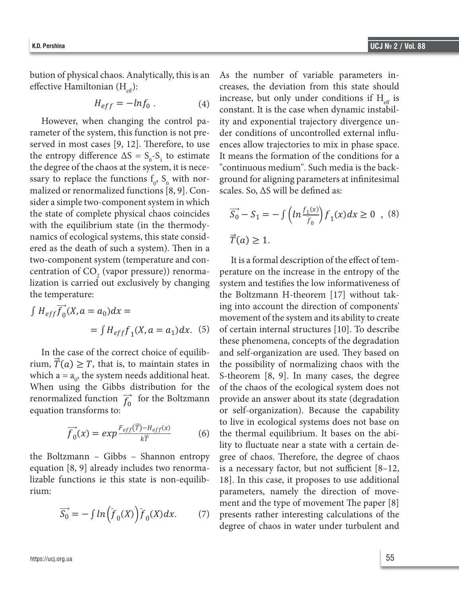⃗⃗ (6)

bution of physical chaos. Analytically, this is an effective Hamiltonian (H $_{\rm eff}$ ):

$$
H_{eff} = -lnf_0 \ . \tag{4}
$$

However, when changing the control parameter of the system, this function is not preserved in most cases [9, 12]. Therefore, to use the entropy difference  $\Delta S = S_0 - S_1$  to estimate the degree of the chaos at the system, it is necessary to replace the functions  $f_0$ ,  $S_0$  with normalized or renormalized functions [8, 9]. Consider a simple two-component system in which However, when changing the control parameter of the system, this function is not the state of complete physical chaos coincides  $S_0 - S_1 = -\int \left( ln \frac{f_1(x)}{\bar{f}_0} \right) f_1(x) dx \ge 0$ with the equilibrium state (in the thermody- $\frac{1}{2}$ )  $\frac{1}{2}$ namics of ecological systems, this state consid-<br>  $\vec{T}(a) \geq 1$ . ered as the death of such a system). Then in a the state of complete physical chaos coincides with the equilibrium state (in the thermodynamics the degree of the chaos at the system, it is necessary to replace the functions f0, S0 with preserved in most cases [9, 12]. Therefore, to use the entropy difference ΔS = S0-S1 to estimate However, when changing the control parameter of the system, this function is not two-component system (temperature and con- It is a formal description of th centration of  $CO_2$  (vapor pressure)) renorma-<br>perature on the increase in the entropy  $\frac{1}{2}$  comparison of  $\frac{1}{2}$  (vapor pressure)) renormalization of the increase in the entropy the temperature: lization is carried out exclusively by changing system and testifies the low informativeness of<br>the Boltzmann H theorem [17] without takcentration of  $CO_2$  (vapor pressure)) renorma- perature on the increase in the entropy of the wo-component system (temperature and con-<br>It is a formal description of the effect of tem-

$$
\int H_{eff} \overrightarrow{f_0}(X, a = a_0) dx = \text{independent}
$$
\n
$$
= \int H_{eff} f_1(X, a = a_1) dx. \quad (5) \text{ of certain in the equation}
$$

rium,  $\overrightarrow{T}(a) \geq T$ , that is, to maintain states in the possibility of normalizing renormalized function  $\overrightarrow{f}_0$  for the Boltzmann – provide an answer about its state (degrading equation transforms to:  $\overrightarrow{f}_0$ equation transforms to: equation tra  $\csc$  of the case of the

$$
\overrightarrow{f}_0(x) = exp \frac{F_{eff}(\overrightarrow{T}) - H_{eff}(x)}{k\overrightarrow{T}}
$$
 to live in ecolo  
the thermal eq  
lity to fluctuate

the Boltzmann – Gibbs – Shannon entropy gree of chaos. Therefore, the degree of equation for  $\Omega$  of this state is not all the state is non-equilibrium: equation  $[8, 9]$  already includes two renorma- is a necessary factor, but not sufficient lizable functions ie this state is non-equilib-  $\left[18\right]$ . In this case, it proposes to use add  $\sum_{i=1}^{\infty}$ rium:

$$
\overrightarrow{S_0} = -\int \ln \left( \overline{f}_0(X) \right) \overline{f}_0(X) dx. \tag{7}
$$

physical chaos. Analytically, this is an As the number of variable parameters in- $H_{eff} = -ln f_0$ . (4) there are, but only there conditions if  $H_{eff}$  is<br>constant. It is the case when dynamic instabilcreases, the deviation from this state should increase, but only under conditions if  $H_{\text{eff}}$  is ity and exponential trajectory divergence under conditions of uncontrolled external influences allow trajectories to mix in phase space. It means the formation of the conditions for a "continuous medium". Such media is the background for aligning parameters at infinitesimal scales. So,  $\Delta S$  will be defined as:

 $\equiv$   $\equiv$ 

⃗⃗⃗⃗ ( ) =

$$
\overrightarrow{S_0} - S_1 = -\int \left( \ln \frac{f_1(x)}{\overline{f}_0} \right) f_1(x) dx \ge 0 \quad , \quad (8)
$$
  

$$
\overrightarrow{T}(a) \ge 1.
$$

 $H_{eff}f_0(X, a = a_0)dx =$  ing the account the direction of components<br>movement of the system and its ability to create  $=\int H_{eff} f_1(X, a = a_1) dx$ . (5) of certain internal structures [10]. To describe  $\frac{1}{2}$  these phenomena, concepts of the degradation When using the Gibbs distribution for the of the chaos of the ecological system does not which  $a = a_0$ , the system needs additional heat. S-theorem [8, 9]. In many cases, the degree train.  $\vec{S} = -\int ln(\vec{f}(\vec{Y})) \vec{f}(\vec{Y}) dx$  (7) presents rather interesting calculations. the temperature:<br>the Boltzmann H-theorem [17] without takthese phenomena, concepts of the correct choice of equilib-<br>In the case of the correct choice of equilib-<br> $\overrightarrow{a}$  and self-organization are used.  $F_{c}(\vec{T}) - H_{c}(\vec{r})$  to live in ecological systems does not base on rium: The issue of the conditions is the conditions in the constant instant. It is the constant of move- $\Rightarrow$   $\left( - \right)$   $\Rightarrow$   $\left( - \right)$   $\Rightarrow$   $\left( - \right)$   $\Rightarrow$   $\left( - \right)$   $\Rightarrow$   $\left( - \right)$   $\Rightarrow$   $\left( - \right)$   $\Rightarrow$   $\left( - \right)$   $\Rightarrow$   $\left( - \right)$   $\Rightarrow$   $\left( - \right)$   $\Rightarrow$   $\left( - \right)$   $\Rightarrow$   $\left( - \right)$   $\Rightarrow$   $\left( - \right)$   $\Rightarrow$   $\left( - \right)$   $\Rightarrow$   $\left( - \right)$   $\Rightarrow$   $\left( - \$  $\overrightarrow{S_0} = -\int ln(\overrightarrow{f}_0(X)) \overrightarrow{f}_0(X) dx.$  (7) presents rather interesting calculations of the degree of chaos in water under turbulent and  $\int H e^{f^2} (X \, a = a_0) dx =$  ing into account the direction of components' e case of the correct choice of equilib-<br>and self-organization are used. They based on<br> $(0) \ge T$ , the third containing the choice of the choice of the choice of the choice of the choice of the choice of the choice of the c  $\frac{kT}{r}$  (b) the thermal equinorium. It cases on the definition of  $CO_2$  (vapor pressure)) renorma- perature on the increase in the entropy of the carried out exclusively by changing system and testifies the low informativeness of o maintain states in the possibility of normalizing chaos with the the Gibbs distribution for the of the chaos of the ecological system does not ized function  $\vec{r}$  for the Boltzmann provide an answer about its state (degradation sforms to: or self-organization). Because the capability  $\frac{K\overline{H}}{k\overline{T}}$  (6) the thermal equilibrium. It mann – Gibbs – Shannon entropy gree of chaos. Therefore, the degree of chaos<br>[8] already includes two renorma-is a necessary factor but not sufficient [8-12] exponential trajectory divergence under conditions of uncontrolled external influences allow functions ie this state is non-equilib- 18]. In this case, it proposes to use additional S-theorem  $[8, 9]$ . In many cases, the degree provide an answer about its state (degradation<br>
in the turbulent flow flow flow in the turbulent flow flow flow  $\mathbb{R}$ . to live in ecological systems does not base on<br>the thermal equilibrium. It bases on the abiexpress the middle kinetic energy of chaos. Therefore, the degree of chaos. is a necessary factor, but not sufficient [8–12,

trajectories to mix in phase space. It means the formation of the conditions for a "continuous

increase, but only under conditions if Heff is constant. It is the case when dynamic instability and

trajectories to mix in phase space. It means the formation of the conditions for a "continuous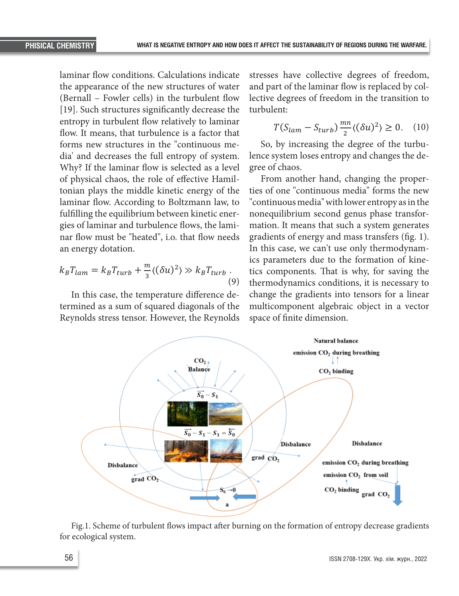laminar flow conditions. Calculations indicate the appearance of the new structures of water (Bernall – Fowler cells) in the turbulent flow [19]. Such structures significantly decrease the entropy in turbulent flow relatively to laminar flow. It means, that turbulence is a factor that forms new structures in the "continuous media' and decreases the full entropy of system. Why? If the laminar flow is selected as a level of physical chaos, the role of effective Hamiltonian plays the middle kinetic energy of the laminar flow. According to Boltzmann law, to fulfilling the equilibrium between kinetic energies of laminar and turbulence flows, the laminar flow must be "heated", i.o. that flow needs an energy dotation.

$$
k_B T_{lam} = k_B T_{turb} + \frac{m}{3} \langle (\delta u)^2 \rangle \gg k_B T_{turb} \tag{9}
$$

Reynolds stress tensor. However, the Reynolds space of finite dimension. In this case, the temperature difference determined as a sum of squared diagonals of the

stresses have collective degrees of freedom, and part of the laminar flow is replaced by collective degrees of freedom in the transition to turbulent: turbulent:

$$
T(S_{lam} - S_{turb}) \frac{mn}{2} \langle (\delta u)^2 \rangle \ge 0. \quad (10)
$$

So, by increasing the degree of the turburoccini<br>Colora lence system loses entropy and changes the degree of chaos.

nar flow must be "heated", i.o. that flow needs gradients of energy and mass transfers (fig. 1). an energy dotation. In this case, we can't use only thermodynam- $\frac{d\pi}{3} \langle (\delta u)^2 \rangle \gg k_B T_{turb}$  tics components. That is why, for saving the  $\frac{d\alpha}{dt}$ In this case, the temperature difference de- change the gradients into tensors for a linear termined as a sum of squared diagonals of the multicomponent algebraic object in a vector From another hand, changing the properties of one "continuous media" forms the new "continuous media" with lower entropy as in the nonequilibrium second genus phase transformation. It means that such a system generates thermodynamics conditions, it is necessary to space of finite dimension. ics parameters due to the formation of kine-



Fig.1. Scheme of turbulent flows impact after burning on the formation of entropy decrease gradients for ecological system.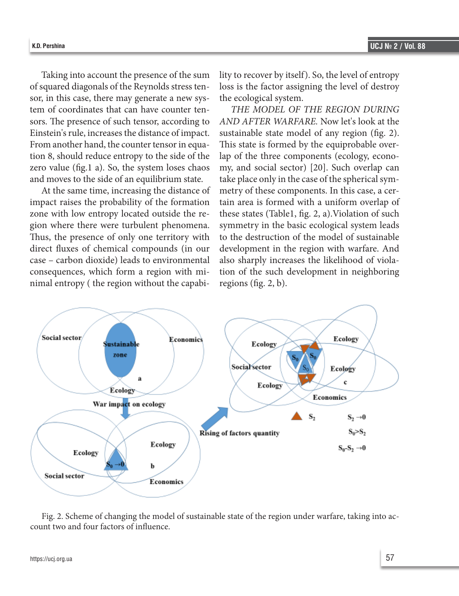Taking into account the presence of the sum of squared diagonals of the Reynolds stress tensor, in this case, there may generate a new system of coordinates that can have counter tensors. The presence of such tensor, according to Einstein's rule, increases the distance of impact. From another hand, the counter tensor in equation 8, should reduce entropy to the side of the zero value (fig.1 a). So, the system loses chaos and moves to the side of an equilibrium state.

At the same time, increasing the distance of impact raises the probability of the formation zone with low entropy located outside the region where there were turbulent phenomena. Thus, the presence of only one territory with direct fluxes of chemical compounds (in our case – carbon dioxide) leads to environmental consequences, which form a region with minimal entropy ( the region without the capability to recover by itself). So, the level of entropy loss is the factor assigning the level of destroy the ecological system.

*THE MODEL OF THE REGION DURING AND AFTER WARFARE.* Now let's look at the sustainable state model of any region (fig. 2). This state is formed by the equiprobable overlap of the three components (ecology, economy, and social sector) [20]. Such overlap can take place only in the case of the spherical symmetry of these components. In this case, a certain area is formed with a uniform overlap of these states (Table1, fig. 2, a).Violation of such symmetry in the basic ecological system leads to the destruction of the model of sustainable development in the region with warfare. And also sharply increases the likelihood of violation of the such development in neighboring regions (fig. 2, b).



Fig. 2. Scheme of changing the model of sustainable state of the region under warfare, taking into account two and four factors of influence.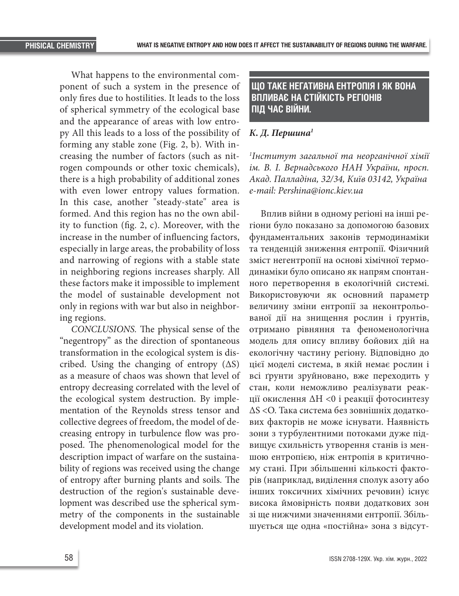What happens to the environmental component of such a system in the presence of only fires due to hostilities. It leads to the loss of spherical symmetry of the ecological base and the appearance of areas with low entropy All this leads to a loss of the possibility of forming any stable zone (Fig. 2, b). With increasing the number of factors (such as nitrogen compounds or other toxic chemicals), there is a high probability of additional zones with even lower entropy values formation. In this case, another "steady-state" area is formed. And this region has no the own ability to function (fig. 2, c). Moreover, with the increase in the number of influencing factors, especially in large areas, the probability of loss and narrowing of regions with a stable state in neighboring regions increases sharply. All these factors make it impossible to implement the model of sustainable development not only in regions with war but also in neighboring regions.

*CONCLUSIONS.* The physical sense of the "negentropy" as the direction of spontaneous transformation in the ecological system is discribed. Using the changing of entropy  $( \Delta S )$ as a measure of chaos was shown that level of entropy decreasing correlated with the level of the ecological system destruction. By implementation of the Reynolds stress tensor and collective degrees of freedom, the model of decreasing entropy in turbulence flow was proposed. The phenomenological model for the description impact of warfare on the sustainability of regions was received using the change of entropy after burning plants and soils. The destruction of the region's sustainable development was described use the spherical symmetry of the components in the sustainable development model and its violation.

## **ЩО ТАКЕ НЕГАТИВНА ЕНТРОПІЯ І ЯК ВОНА ВПЛИВАЄ НА СТІЙКІСТЬ РЕГІОНІВ ПІД ЧАС ВІЙНИ.**

#### *К. Д. Першина1*

*1 Інститут загальної та неорганічної хімії ім. В. І. Вернадського НАН України, просп. Акад. Палладіна, 32/34, Київ 03142, Україна e-mail: Pershina@ionc.kiev.ua*

Вплив війни в одному регіоні на інші регіони було показано за допомогою базових фундаментальних законів термодинаміки та тенденцій зниження ентропії. Фізичний зміст негентропії на основі хімічної термодинаміки було описано як напрям спонтанного перетворення в екологічній системі. Використовуючи як основний параметр величину зміни ентропії за неконтрольованої дії на знищення рослин і ґрунтів, отримано рівняння та феноменологічна модель для опису впливу бойових дій на екологічну частину регіону. Відповідно до цієї моделі система, в якій немає рослин і всі ґрунти зруйновано, вже переходить у стан, коли неможливо реалізувати реакції окислення ΔH <0 і реакції фотосинтезу ΔS <O. Така система без зовнішніх додаткових факторів не може існувати. Наявність зони з турбулентними потоками дуже підвищує схильність утворення станів із меншою ентропією, ніж ентропія в критичному стані. При збільшенні кількості факторів (наприклад, виділення сполук азоту або інших токсичних хімічних речовин) існує висока ймовірність появи додаткових зон зі ще нижчими значеннями ентропії. Збільшується ще одна «постійна» зона з відсут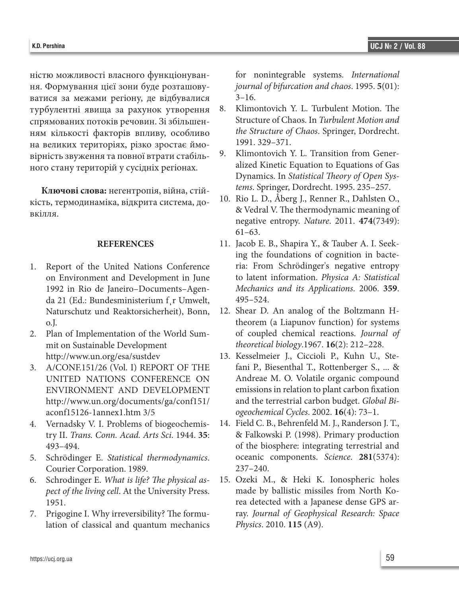ністю можливості власного функціонування. Формування цієї зони буде розташовуватися за межами регіону, де відбувалися турбулентні явища за рахунок утворення спрямованих потоків речовин. Зі збільшенням кількості факторів впливу, особливо на великих територіях, різко зростає ймовірність звуження та повної втрати стабільного стану територій у сусідніх регіонах.

**Ключові слова:** негентропія, війна, стійкість, термодинаміка, відкрита система, довкілля.

#### **REFERENCES**

- 1. Report of the United Nations Conference on Environment and Development in June 1992 in Rio de Janeiro–Documents–Agenda 21 (Ed.: Bundesministerium f¸r Umwelt, Naturschutz und Reaktorsicherheit), Bonn, o.J.
- 2. Plan of Implementation of the World Summit on Sustainable Development http://www.un.org/esa/sustdev
- 3. A/CONF.151/26 (Vol. I) REPORT OF THE UNITED NATIONS CONFERENCE ON ENVIRONMENT AND DEVELOPMENT http://www.un.org/documents/ga/conf151/ aconf15126-1annex1.htm 3/5
- 4. Vernadsky V. I. Problems of biogeochemistry II. *Trans. Conn. Acad. Arts Sci*. 1944. **35**: 493–494.
- 5. Schrödinger E. *Statistical thermodynamics*. Courier Corporation. 1989.
- 6. Schrodinger E. *What is life? The physical aspect of the living cell*. At the University Press. 1951.
- 7. Prigogine I. Why irreversibility? The formulation of classical and quantum mechanics

for nonintegrable systems. *International journal of bifurcation and chaos*. 1995. **5**(01):  $3 - 16$ .

- 8. Klimontovich Y. L. Turbulent Motion. The Structure of Chaos. In *Turbulent Motion and the Structure of Chaos*. Springer, Dordrecht. 1991. 329–371.
- 9. Klimontovich Y. L. Transition from Generalized Kinetic Equation to Equations of Gas Dynamics. In *Statistical Theory of Open Systems*. Springer, Dordrecht. 1995. 235–257.
- 10. Rio L. D., Åberg J., Renner R., Dahlsten O., & Vedral V. The thermodynamic meaning of negative entropy. *Nature*. 2011. **474**(7349): 61–63.
- 11. Jacob E. B., Shapira Y., & Tauber A. I. Seeking the foundations of cognition in bacteria: From Schrödinger's negative entropy to latent information. *Physica A: Statistical Mechanics and its Applications*. 2006. **359**. 495–524.
- 12. Shear D. An analog of the Boltzmann H-theorem (a Liapunov function) for systems of coupled chemical reactions. *Journal of theoretical biology*.1967. **16**(2): 212–228.
- 13. Kesselmeier J., Ciccioli P., Kuhn U., Stefani P., Biesenthal T., Rottenberger S., ... & Andreae M. O. Volatile organic compound emissions in relation to plant carbon fixation and the terrestrial carbon budget. *Global Biogeochemical Cycles*. 2002. **16**(4): 73–1.
- 14. Field C. B., Behrenfeld M. J., Randerson J. T., & Falkowski P. (1998). Primary production of the biosphere: integrating terrestrial and oceanic components. *Science*. **281**(5374): 237–240.
- 15. Ozeki M., & Heki K. Ionospheric holes made by ballistic missiles from North Korea detected with a Japanese dense GPS array. *Journal of Geophysical Research: Space Physics*. 2010. **115** (A9).